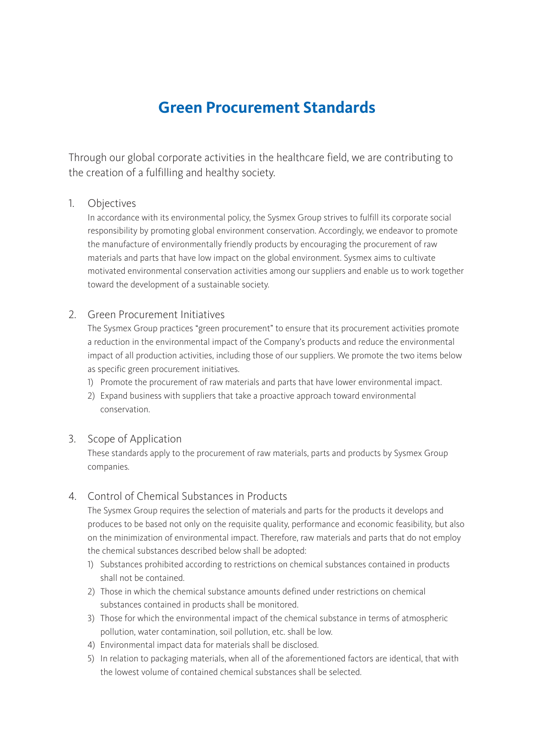# **Green Procurement Standards**

Through our global corporate activities in the healthcare field, we are contributing to the creation of a fulfilling and healthy society.

#### 1. Objectives

In accordance with its environmental policy, the Sysmex Group strives to fulfill its corporate social responsibility by promoting global environment conservation. Accordingly, we endeavor to promote the manufacture of environmentally friendly products by encouraging the procurement of raw materials and parts that have low impact on the global environment. Sysmex aims to cultivate motivated environmental conservation activities among our suppliers and enable us to work together toward the development of a sustainable society.

#### 2. Green Procurement Initiatives

The Sysmex Group practices "green procurement" to ensure that its procurement activities promote a reduction in the environmental impact of the Company's products and reduce the environmental impact of all production activities, including those of our suppliers. We promote the two items below as specific green procurement initiatives.

- 1) Promote the procurement of raw materials and parts that have lower environmental impact.
- 2) Expand business with suppliers that take a proactive approach toward environmental conservation.

#### 3. Scope of Application

These standards apply to the procurement of raw materials, parts and products by Sysmex Group companies.

### 4. Control of Chemical Substances in Products

The Sysmex Group requires the selection of materials and parts for the products it develops and produces to be based not only on the requisite quality, performance and economic feasibility, but also on the minimization of environmental impact. Therefore, raw materials and parts that do not employ the chemical substances described below shall be adopted:

- 1) Substances prohibited according to restrictions on chemical substances contained in products shall not be contained.
- 2) Those in which the chemical substance amounts defined under restrictions on chemical substances contained in products shall be monitored.
- 3) Those for which the environmental impact of the chemical substance in terms of atmospheric pollution, water contamination, soil pollution, etc. shall be low.
- 4) Environmental impact data for materials shall be disclosed.
- 5) In relation to packaging materials, when all of the aforementioned factors are identical, that with the lowest volume of contained chemical substances shall be selected.